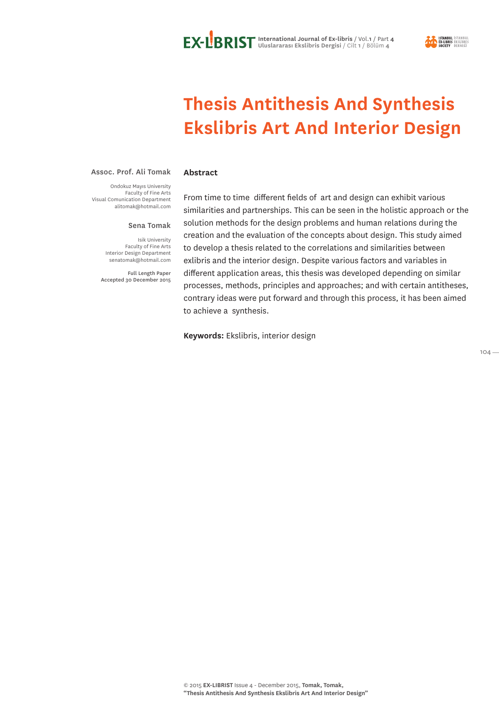

# **Thesis Antithesis And Synthesis Ekslibris Art And Interior Design**

#### Assoc. Prof. Ali Tomak

Ondokuz Mayıs University Faculty of Fine Arts Visual Comunication Department alitomak@hotmail.com

#### Sena Tomak

**Abstract**

Isik University Faculty of Fine Arts Interior Design Department senatomak@hotmail.com

Full Length Paper Accepted 30 December 2015 From time to time different fields of art and design can exhibit various similarities and partnerships. This can be seen in the holistic approach or the solution methods for the design problems and human relations during the creation and the evaluation of the concepts about design. This study aimed to develop a thesis related to the correlations and similarities between exlibris and the interior design. Despite various factors and variables in different application areas, this thesis was developed depending on similar processes, methods, principles and approaches; and with certain antitheses, contrary ideas were put forward and through this process, it has been aimed to achieve a synthesis.

**Keywords:** Ekslibris, interior design

 $104 -$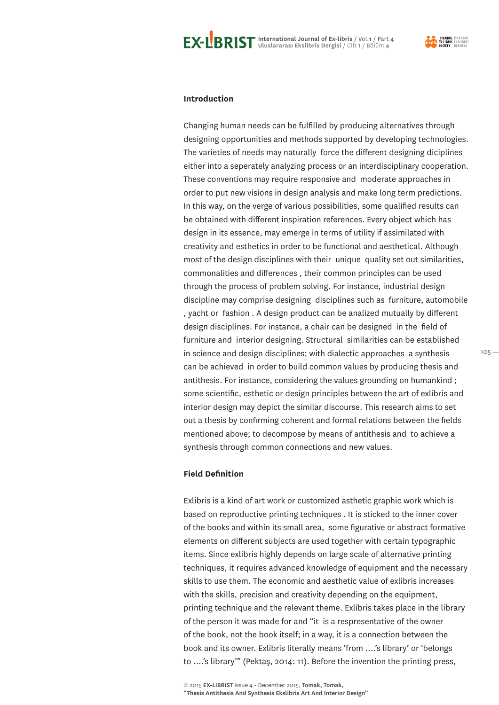

#### **Introduction**

Changing human needs can be fulfilled by producing alternatives through designing opportunities and methods supported by developing technologies. The varieties of needs may naturally force the different designing diciplines either into a seperately analyzing process or an interdisciplinary cooperation. These conventions may require responsive and moderate approaches in order to put new visions in design analysis and make long term predictions. In this way, on the verge of various possibilities, some qualified results can be obtained with different inspiration references. Every object which has design in its essence, may emerge in terms of utility if assimilated with creativity and esthetics in order to be functional and aesthetical. Although most of the design disciplines with their unique quality set out similarities, commonalities and differences , their common principles can be used through the process of problem solving. For instance, industrial design discipline may comprise designing disciplines such as furniture, automobile , yacht or fashion . A design product can be analized mutually by different design disciplines. For instance, a chair can be designed in the field of furniture and interior designing. Structural similarities can be established in science and design disciplines; with dialectic approaches a synthesis can be achieved in order to build common values by producing thesis and antithesis. For instance, considering the values grounding on humankind ; some scientific, esthetic or design principles between the art of exlibris and interior design may depict the similar discourse. This research aims to set out a thesis by confirming coherent and formal relations between the fields mentioned above; to decompose by means of antithesis and to achieve a synthesis through common connections and new values.

#### **Field Definition**

Exlibris is a kind of art work or customized asthetic graphic work which is based on reproductive printing techniques . It is sticked to the inner cover of the books and within its small area, some figurative or abstract formative elements on different subjects are used together with certain typographic items. Since exlibris highly depends on large scale of alternative printing techniques, it requires advanced knowledge of equipment and the necessary skills to use them. The economic and aesthetic value of exlibris increases with the skills, precision and creativity depending on the equipment, printing technique and the relevant theme. Exlibris takes place in the library of the person it was made for and "it is a respresentative of the owner of the book, not the book itself; in a way, it is a connection between the book and its owner. Exlibris literally means 'from ….'s library' or 'belongs to ….'s library'" (Pektaş, 2014: 11). Before the invention the printing press,

© 2015 **EX-LIBRIST** Issue 4 - December 2015, **Tomak, Tomak, "Thesis Antithesis And Synthesis Ekslibris Art And Interior Design"**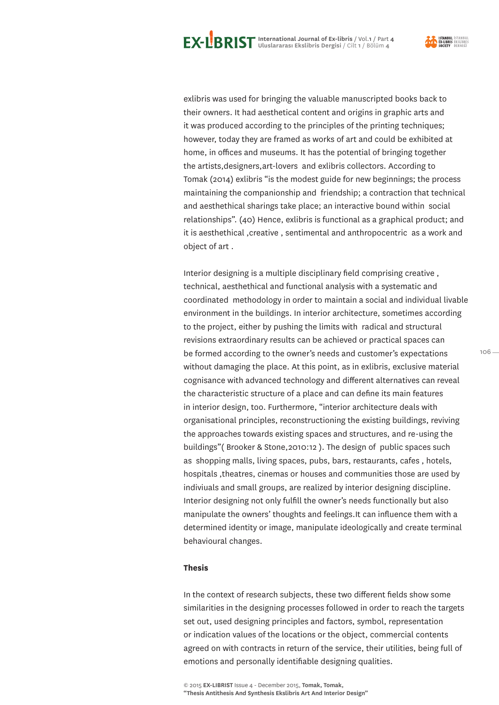exlibris was used for bringing the valuable manuscripted books back to their owners. It had aesthetical content and origins in graphic arts and it was produced according to the principles of the printing techniques; however, today they are framed as works of art and could be exhibited at home, in offices and museums. It has the potential of bringing together the artists,designers,art-lovers and exlibris collectors. According to Tomak (2014) exlibris "is the modest guide for new beginnings; the process maintaining the companionship and friendship; a contraction that technical and aesthethical sharings take place; an interactive bound within social relationships". (40) Hence, exlibris is functional as a graphical product; and it is aesthethical ,creative , sentimental and anthropocentric as a work and object of art .

Interior designing is a multiple disciplinary field comprising creative , technical, aesthethical and functional analysis with a systematic and coordinated methodology in order to maintain a social and individual livable environment in the buildings. In interior architecture, sometimes according to the project, either by pushing the limits with radical and structural revisions extraordinary results can be achieved or practical spaces can be formed according to the owner's needs and customer's expectations without damaging the place. At this point, as in exlibris, exclusive material cognisance with advanced technology and different alternatives can reveal the characteristic structure of a place and can define its main features in interior design, too. Furthermore, "interior architecture deals with organisational principles, reconstructioning the existing buildings, reviving the approaches towards existing spaces and structures, and re-using the buildings"( Brooker & Stone,2010:12 ). The design of public spaces such as shopping malls, living spaces, pubs, bars, restaurants, cafes , hotels, hospitals ,theatres, cinemas or houses and communities those are used by indiviuals and small groups, are realized by interior designing discipline. Interior designing not only fulfill the owner's needs functionally but also manipulate the owners' thoughts and feelings.It can influence them with a determined identity or image, manipulate ideologically and create terminal behavioural changes.

#### **Thesis**

In the context of research subjects, these two different fields show some similarities in the designing processes followed in order to reach the targets set out, used designing principles and factors, symbol, representation or indication values of the locations or the object, commercial contents agreed on with contracts in return of the service, their utilities, being full of emotions and personally identifiable designing qualities.

<sup>© 2015</sup> **EX-LIBRIST** Issue 4 - December 2015, **Tomak, Tomak,** 

**<sup>&</sup>quot;Thesis Antithesis And Synthesis Ekslibris Art And Interior Design"**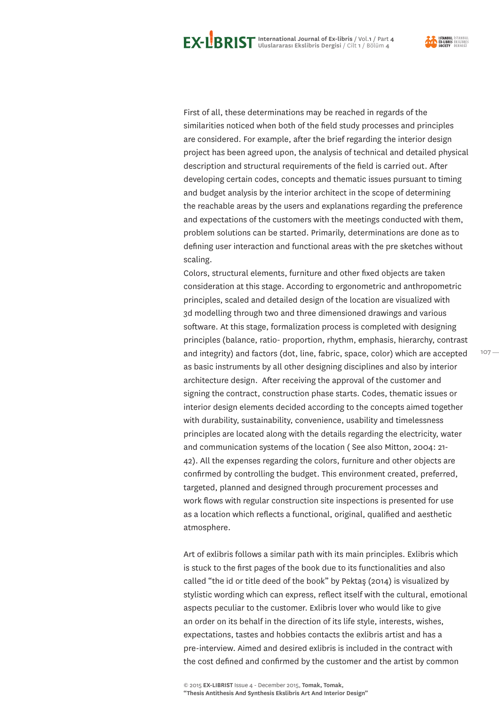First of all, these determinations may be reached in regards of the similarities noticed when both of the field study processes and principles are considered. For example, after the brief regarding the interior design project has been agreed upon, the analysis of technical and detailed physical description and structural requirements of the field is carried out. After developing certain codes, concepts and thematic issues pursuant to timing and budget analysis by the interior architect in the scope of determining the reachable areas by the users and explanations regarding the preference and expectations of the customers with the meetings conducted with them, problem solutions can be started. Primarily, determinations are done as to defining user interaction and functional areas with the pre sketches without scaling.

Colors, structural elements, furniture and other fixed objects are taken consideration at this stage. According to ergonometric and anthropometric principles, scaled and detailed design of the location are visualized with 3d modelling through two and three dimensioned drawings and various software. At this stage, formalization process is completed with designing principles (balance, ratio- proportion, rhythm, emphasis, hierarchy, contrast and integrity) and factors (dot, line, fabric, space, color) which are accepted as basic instruments by all other designing disciplines and also by interior architecture design. After receiving the approval of the customer and signing the contract, construction phase starts. Codes, thematic issues or interior design elements decided according to the concepts aimed together with durability, sustainability, convenience, usability and timelessness principles are located along with the details regarding the electricity, water and communication systems of the location ( See also Mitton, 2004: 21- 42). All the expenses regarding the colors, furniture and other objects are confirmed by controlling the budget. This environment created, preferred, targeted, planned and designed through procurement processes and work flows with regular construction site inspections is presented for use as a location which reflects a functional, original, qualified and aesthetic atmosphere.

Art of exlibris follows a similar path with its main principles. Exlibris which is stuck to the first pages of the book due to its functionalities and also called "the id or title deed of the book" by Pektaş (2014) is visualized by stylistic wording which can express, reflect itself with the cultural, emotional aspects peculiar to the customer. Exlibris lover who would like to give an order on its behalf in the direction of its life style, interests, wishes, expectations, tastes and hobbies contacts the exlibris artist and has a pre-interview. Aimed and desired exlibris is included in the contract with the cost defined and confirmed by the customer and the artist by common

**<sup>&</sup>quot;Thesis Antithesis And Synthesis Ekslibris Art And Interior Design"**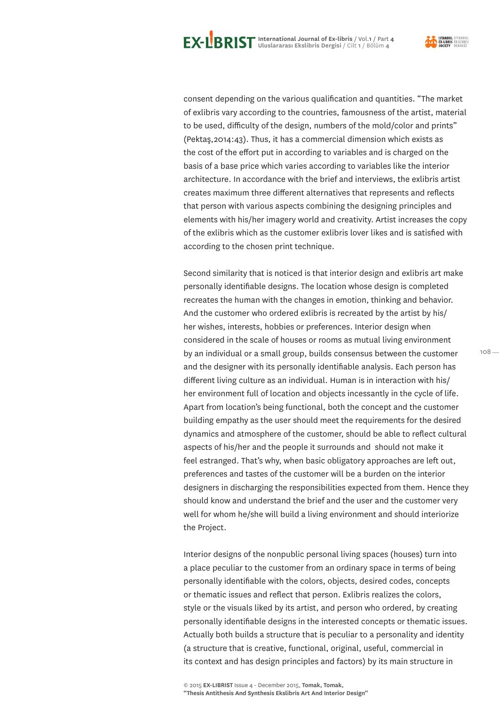consent depending on the various qualification and quantities. "The market of exlibris vary according to the countries, famousness of the artist, material to be used, difficulty of the design, numbers of the mold/color and prints" (Pektaş,2014:43). Thus, it has a commercial dimension which exists as the cost of the effort put in according to variables and is charged on the basis of a base price which varies according to variables like the interior architecture. In accordance with the brief and interviews, the exlibris artist creates maximum three different alternatives that represents and reflects that person with various aspects combining the designing principles and elements with his/her imagery world and creativity. Artist increases the copy of the exlibris which as the customer exlibris lover likes and is satisfied with according to the chosen print technique.

Second similarity that is noticed is that interior design and exlibris art make personally identifiable designs. The location whose design is completed recreates the human with the changes in emotion, thinking and behavior. And the customer who ordered exlibris is recreated by the artist by his/ her wishes, interests, hobbies or preferences. Interior design when considered in the scale of houses or rooms as mutual living environment by an individual or a small group, builds consensus between the customer and the designer with its personally identifiable analysis. Each person has different living culture as an individual. Human is in interaction with his/ her environment full of location and objects incessantly in the cycle of life. Apart from location's being functional, both the concept and the customer building empathy as the user should meet the requirements for the desired dynamics and atmosphere of the customer, should be able to reflect cultural aspects of his/her and the people it surrounds and should not make it feel estranged. That's why, when basic obligatory approaches are left out, preferences and tastes of the customer will be a burden on the interior designers in discharging the responsibilities expected from them. Hence they should know and understand the brief and the user and the customer very well for whom he/she will build a living environment and should interiorize the Project.

Interior designs of the nonpublic personal living spaces (houses) turn into a place peculiar to the customer from an ordinary space in terms of being personally identifiable with the colors, objects, desired codes, concepts or thematic issues and reflect that person. Exlibris realizes the colors, style or the visuals liked by its artist, and person who ordered, by creating personally identifiable designs in the interested concepts or thematic issues. Actually both builds a structure that is peculiar to a personality and identity (a structure that is creative, functional, original, useful, commercial in its context and has design principles and factors) by its main structure in

**"Thesis Antithesis And Synthesis Ekslibris Art And Interior Design"**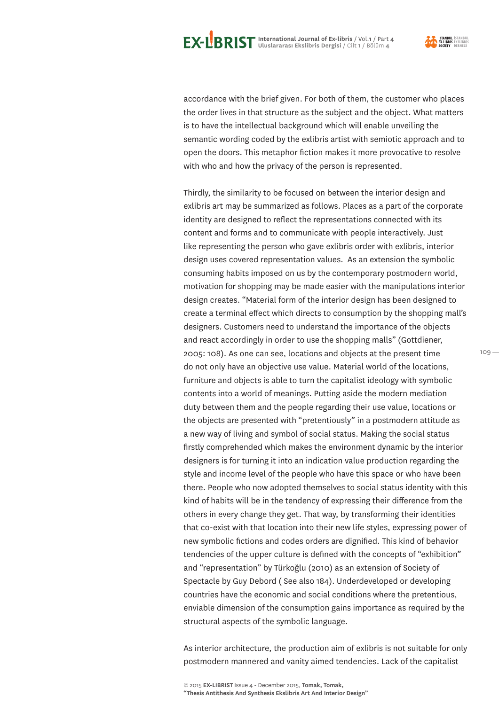



<mark>ISTANBUL</mark> İSTANBUI<br>EX-LIBRIS EKSLİBRİ!

 $109 -$ 

accordance with the brief given. For both of them, the customer who places the order lives in that structure as the subject and the object. What matters is to have the intellectual background which will enable unveiling the semantic wording coded by the exlibris artist with semiotic approach and to open the doors. This metaphor fiction makes it more provocative to resolve with who and how the privacy of the person is represented.

Thirdly, the similarity to be focused on between the interior design and exlibris art may be summarized as follows. Places as a part of the corporate identity are designed to reflect the representations connected with its content and forms and to communicate with people interactively. Just like representing the person who gave exlibris order with exlibris, interior design uses covered representation values. As an extension the symbolic consuming habits imposed on us by the contemporary postmodern world, motivation for shopping may be made easier with the manipulations interior design creates. "Material form of the interior design has been designed to create a terminal effect which directs to consumption by the shopping mall's designers. Customers need to understand the importance of the objects and react accordingly in order to use the shopping malls" (Gottdiener, 2005: 108). As one can see, locations and objects at the present time do not only have an objective use value. Material world of the locations, furniture and objects is able to turn the capitalist ideology with symbolic contents into a world of meanings. Putting aside the modern mediation duty between them and the people regarding their use value, locations or the objects are presented with "pretentiously" in a postmodern attitude as a new way of living and symbol of social status. Making the social status firstly comprehended which makes the environment dynamic by the interior designers is for turning it into an indication value production regarding the style and income level of the people who have this space or who have been there. People who now adopted themselves to social status identity with this kind of habits will be in the tendency of expressing their difference from the others in every change they get. That way, by transforming their identities that co-exist with that location into their new life styles, expressing power of new symbolic fictions and codes orders are dignified. This kind of behavior tendencies of the upper culture is defined with the concepts of "exhibition" and "representation" by Türkoğlu (2010) as an extension of Society of Spectacle by Guy Debord ( See also 184). Underdeveloped or developing countries have the economic and social conditions where the pretentious, enviable dimension of the consumption gains importance as required by the structural aspects of the symbolic language.

As interior architecture, the production aim of exlibris is not suitable for only postmodern mannered and vanity aimed tendencies. Lack of the capitalist

**"Thesis Antithesis And Synthesis Ekslibris Art And Interior Design"**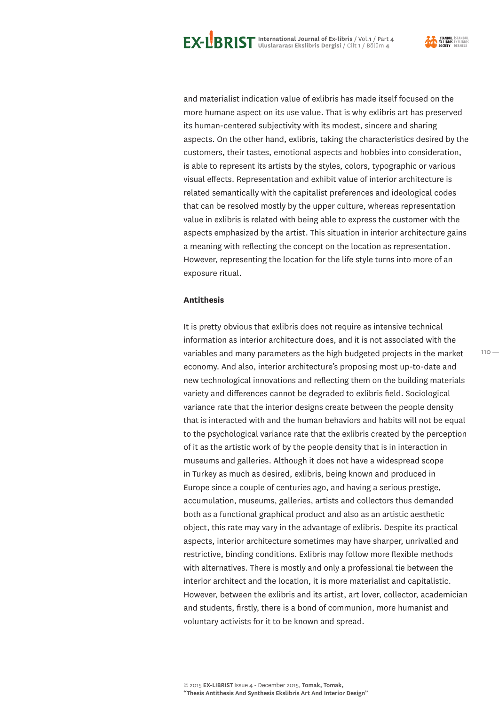

and materialist indication value of exlibris has made itself focused on the more humane aspect on its use value. That is why exlibris art has preserved its human-centered subjectivity with its modest, sincere and sharing aspects. On the other hand, exlibris, taking the characteristics desired by the customers, their tastes, emotional aspects and hobbies into consideration, is able to represent its artists by the styles, colors, typographic or various visual effects. Representation and exhibit value of interior architecture is related semantically with the capitalist preferences and ideological codes that can be resolved mostly by the upper culture, whereas representation value in exlibris is related with being able to express the customer with the aspects emphasized by the artist. This situation in interior architecture gains a meaning with reflecting the concept on the location as representation. However, representing the location for the life style turns into more of an exposure ritual.

### **Antithesis**

It is pretty obvious that exlibris does not require as intensive technical information as interior architecture does, and it is not associated with the variables and many parameters as the high budgeted projects in the market economy. And also, interior architecture's proposing most up-to-date and new technological innovations and reflecting them on the building materials variety and differences cannot be degraded to exlibris field. Sociological variance rate that the interior designs create between the people density that is interacted with and the human behaviors and habits will not be equal to the psychological variance rate that the exlibris created by the perception of it as the artistic work of by the people density that is in interaction in museums and galleries. Although it does not have a widespread scope in Turkey as much as desired, exlibris, being known and produced in Europe since a couple of centuries ago, and having a serious prestige, accumulation, museums, galleries, artists and collectors thus demanded both as a functional graphical product and also as an artistic aesthetic object, this rate may vary in the advantage of exlibris. Despite its practical aspects, interior architecture sometimes may have sharper, unrivalled and restrictive, binding conditions. Exlibris may follow more flexible methods with alternatives. There is mostly and only a professional tie between the interior architect and the location, it is more materialist and capitalistic. However, between the exlibris and its artist, art lover, collector, academician and students, firstly, there is a bond of communion, more humanist and voluntary activists for it to be known and spread.